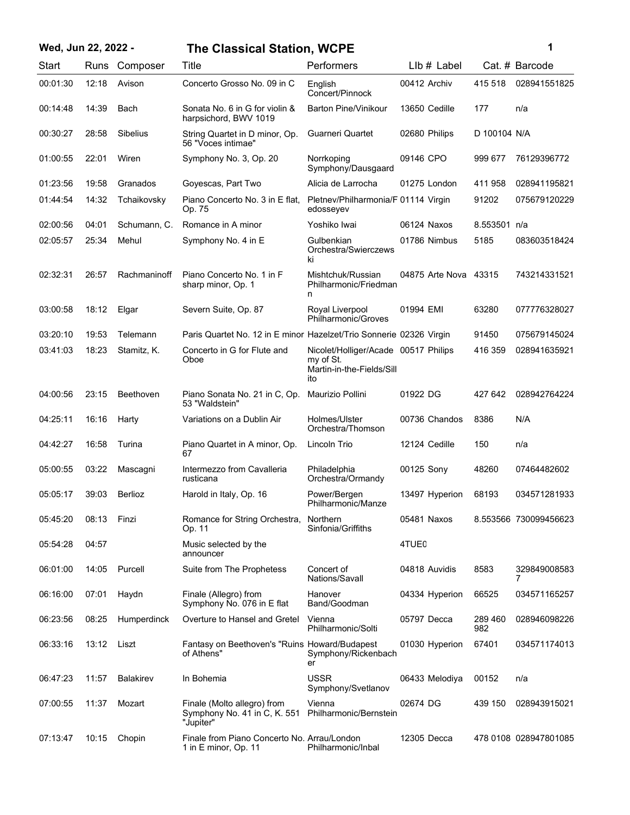| Wed, Jun 22, 2022 - |       |                  | <b>The Classical Station, WCPE</b>                                       |                                                                                       | 1                     |                |                       |
|---------------------|-------|------------------|--------------------------------------------------------------------------|---------------------------------------------------------------------------------------|-----------------------|----------------|-----------------------|
| Start               | Runs  | Composer         | Title                                                                    | Performers                                                                            | $Llb#$ Label          |                | Cat. # Barcode        |
| 00:01:30            | 12:18 | Avison           | Concerto Grosso No. 09 in C                                              | English<br>Concert/Pinnock                                                            | 00412 Archiv          | 415 518        | 028941551825          |
| 00:14:48            | 14:39 | Bach             | Sonata No. 6 in G for violin &<br>harpsichord, BWV 1019                  | <b>Barton Pine/Vinikour</b>                                                           | 13650 Cedille         | 177            | n/a                   |
| 00:30:27            | 28:58 | Sibelius         | String Quartet in D minor, Op.<br>56 "Voces intimae"                     | Guarneri Quartet                                                                      | 02680 Philips         | D 100104 N/A   |                       |
| 01:00:55            | 22:01 | Wiren            | Symphony No. 3, Op. 20                                                   | Norrkoping<br>Symphony/Dausgaard                                                      | 09146 CPO             | 999 677        | 76129396772           |
| 01:23:56            | 19:58 | Granados         | Goyescas, Part Two                                                       | Alicia de Larrocha                                                                    | 01275 London          | 411 958        | 028941195821          |
| 01:44:54            | 14:32 | Tchaikovsky      | Piano Concerto No. 3 in E flat,<br>Op. 75                                | Pletnev/Philharmonia/F 01114 Virgin<br>edosseyev                                      |                       | 91202          | 075679120229          |
| 02:00:56            | 04:01 | Schumann, C.     | Romance in A minor                                                       | Yoshiko Iwai                                                                          | 06124 Naxos           | 8.553501 n/a   |                       |
| 02:05:57            | 25:34 | Mehul            | Symphony No. 4 in E                                                      | Gulbenkian<br>Orchestra/Swierczews<br>ki                                              | 01786 Nimbus          | 5185           | 083603518424          |
| 02:32:31            | 26:57 | Rachmaninoff     | Piano Concerto No. 1 in F<br>sharp minor, Op. 1                          | Mishtchuk/Russian<br>Philharmonic/Friedman<br>n                                       | 04875 Arte Nova 43315 |                | 743214331521          |
| 03:00:58            | 18:12 | Elgar            | Severn Suite, Op. 87                                                     | Royal Liverpool<br>Philharmonic/Groves                                                | 01994 EMI             | 63280          | 077776328027          |
| 03:20:10            | 19:53 | Telemann         | Paris Quartet No. 12 in E minor Hazelzet/Trio Sonnerie 02326 Virgin      |                                                                                       |                       | 91450          | 075679145024          |
| 03:41:03            | 18:23 | Stamitz, K.      | Concerto in G for Flute and<br>Oboe                                      | Nicolet/Holliger/Acade 00517 Philips<br>my of St.<br>Martin-in-the-Fields/Sill<br>ito |                       | 416 359        | 028941635921          |
| 04:00:56            | 23:15 | <b>Beethoven</b> | Piano Sonata No. 21 in C, Op.<br>53 "Waldstein"                          | Maurizio Pollini                                                                      | 01922 DG              | 427 642        | 028942764224          |
| 04:25:11            | 16:16 | Harty            | Variations on a Dublin Air                                               | Holmes/Ulster<br>Orchestra/Thomson                                                    | 00736 Chandos         | 8386           | N/A                   |
| 04:42:27            | 16:58 | Turina           | Piano Quartet in A minor, Op.<br>67                                      | Lincoln Trio                                                                          | 12124 Cedille         | 150            | n/a                   |
| 05:00:55            | 03:22 | Mascagni         | Intermezzo from Cavalleria<br>rusticana                                  | Philadelphia<br>Orchestra/Ormandy                                                     | 00125 Sony            | 48260          | 07464482602           |
| 05:05:17            | 39:03 | <b>Berlioz</b>   | Harold in Italy, Op. 16                                                  | Power/Bergen<br>Philharmonic/Manze                                                    | 13497 Hyperion        | 68193          | 034571281933          |
| 05:45:20            | 08:13 | Finzi            | Romance for String Orchestra,<br>Op. 11                                  | Northern<br>Sinfonia/Griffiths                                                        | 05481 Naxos           |                | 8.553566 730099456623 |
| 05:54:28            | 04:57 |                  | Music selected by the<br>announcer                                       |                                                                                       | 4TUE <sub>0</sub>     |                |                       |
| 06:01:00            | 14:05 | Purcell          | Suite from The Prophetess                                                | Concert of<br>Nations/Savall                                                          | 04818 Auvidis         | 8583           | 329849008583<br>7     |
| 06:16:00            | 07:01 | Haydn            | Finale (Allegro) from<br>Symphony No. 076 in E flat                      | Hanover<br>Band/Goodman                                                               | 04334 Hyperion        | 66525          | 034571165257          |
| 06:23:56            | 08:25 | Humperdinck      | Overture to Hansel and Gretel                                            | Vienna<br>Philharmonic/Solti                                                          | 05797 Decca           | 289 460<br>982 | 028946098226          |
| 06:33:16            | 13:12 | Liszt            | Fantasy on Beethoven's "Ruins Howard/Budapest"<br>of Athens"             | Symphony/Rickenbach<br>er                                                             | 01030 Hyperion        | 67401          | 034571174013          |
| 06:47:23            | 11:57 | <b>Balakirev</b> | In Bohemia                                                               | <b>USSR</b><br>Symphony/Svetlanov                                                     | 06433 Melodiya        | 00152          | n/a                   |
| 07:00:55            | 11:37 | Mozart           | Finale (Molto allegro) from<br>Symphony No. 41 in C, K. 551<br>"Jupiter" | Vienna<br>Philharmonic/Bernstein                                                      | 02674 DG              | 439 150        | 028943915021          |
| 07:13:47            | 10:15 | Chopin           | Finale from Piano Concerto No. Arrau/London<br>1 in E minor, Op. 11      | Philharmonic/Inbal                                                                    | 12305 Decca           |                | 478 0108 028947801085 |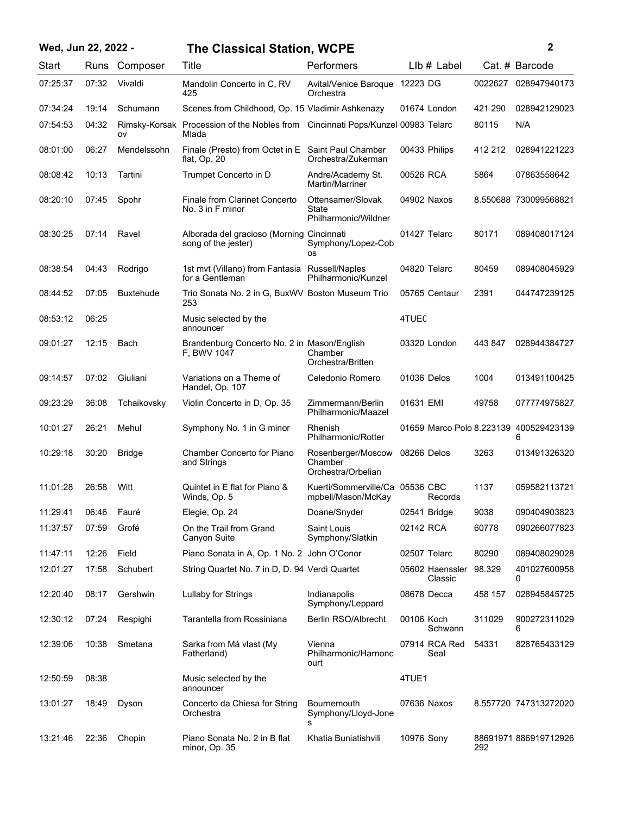## **Wed, Jun 22, 2022 - 2 The Classical Station, WCPE**

| I<br>ł<br>٠ |  |
|-------------|--|
|             |  |
|             |  |

| Start    | Runs  | Composer         | Title                                                                                    | Performers                                                | $L$ lb $#$ Label                       |         | Cat. # Barcode        |
|----------|-------|------------------|------------------------------------------------------------------------------------------|-----------------------------------------------------------|----------------------------------------|---------|-----------------------|
| 07:25:37 | 07:32 | Vivaldi          | Mandolin Concerto in C, RV<br>425                                                        | Avital/Venice Baroque 12223 DG<br>Orchestra               |                                        | 0022627 | 028947940173          |
| 07:34:24 | 19:14 | Schumann         | Scenes from Childhood, Op. 15 Vladimir Ashkenazy                                         |                                                           | 01674 London                           | 421 290 | 028942129023          |
| 07:54:53 | 04:32 | ov               | Rimsky-Korsak Procession of the Nobles from Cincinnati Pops/Kunzel 00983 Telarc<br>Mlada |                                                           |                                        | 80115   | N/A                   |
| 08:01:00 | 06:27 | Mendelssohn      | Finale (Presto) from Octet in E Saint Paul Chamber<br>flat, Op. 20                       | Orchestra/Zukerman                                        | 00433 Philips                          | 412 212 | 028941221223          |
| 08:08:42 | 10:13 | Tartini          | Trumpet Concerto in D                                                                    | Andre/Academy St.<br>Martin/Marriner                      | 00526 RCA                              | 5864    | 07863558642           |
| 08:20:10 | 07:45 | Spohr            | Finale from Clarinet Concerto<br>No. 3 in F minor                                        | Ottensamer/Slovak<br><b>State</b><br>Philharmonic/Wildner | 04902 Naxos                            |         | 8.550688 730099568821 |
| 08:30:25 | 07:14 | Ravel            | Alborada del gracioso (Morning Cincinnati<br>song of the jester)                         | Symphony/Lopez-Cob<br><b>OS</b>                           | 01427 Telarc                           | 80171   | 089408017124          |
| 08:38:54 | 04:43 | Rodrigo          | 1st mvt (Villano) from Fantasia<br>for a Gentleman                                       | Russell/Naples<br>Philharmonic/Kunzel                     | 04820 Telarc                           | 80459   | 089408045929          |
| 08:44:52 | 07:05 | <b>Buxtehude</b> | Trio Sonata No. 2 in G, BuxWV Boston Museum Trio<br>253                                  |                                                           | 05765 Centaur                          | 2391    | 044747239125          |
| 08:53:12 | 06:25 |                  | Music selected by the<br>announcer                                                       |                                                           | 4TUE <sub>0</sub>                      |         |                       |
| 09:01:27 | 12:15 | Bach             | Brandenburg Concerto No. 2 in Mason/English<br>F. BWV 1047                               | Chamber<br>Orchestra/Britten                              | 03320 London                           | 443 847 | 028944384727          |
| 09:14:57 | 07:02 | Giuliani         | Variations on a Theme of<br>Handel, Op. 107                                              | Celedonio Romero                                          | 01036 Delos                            | 1004    | 013491100425          |
| 09:23:29 | 36:08 | Tchaikovsky      | Violin Concerto in D, Op. 35                                                             | Zimmermann/Berlin<br>Philharmonic/Maazel                  | 01631 EMI                              | 49758   | 077774975827          |
| 10:01:27 | 26:21 | Mehul            | Symphony No. 1 in G minor                                                                | Rhenish<br>Philharmonic/Rotter                            | 01659 Marco Polo 8.223139 400529423139 |         | 6                     |
| 10:29:18 | 30:20 | <b>Bridge</b>    | Chamber Concerto for Piano<br>and Strings                                                | Rosenberger/Moscow<br>Chamber<br>Orchestra/Orbelian       | 08266 Delos                            | 3263    | 013491326320          |
| 11:01:28 | 26:58 | Witt             | Quintet in E flat for Piano &<br>Winds, Op. 5                                            | Kuerti/Sommerville/Ca 05536 CBC<br>mpbell/Mason/McKay     | Records                                | 1137    | 059582113721          |
| 11:29:41 | 06:46 | Fauré            | Elegie, Op. 24                                                                           | Doane/Snyder                                              | 02541 Bridge                           | 9038    | 090404903823          |
| 11:37:57 | 07:59 | Grofé            | On the Trail from Grand<br>Canyon Suite                                                  | Saint Louis<br>Symphony/Slatkin                           | 02142 RCA                              | 60778   | 090266077823          |
| 11:47:11 | 12:26 | Field            | Piano Sonata in A, Op. 1 No. 2 John O'Conor                                              |                                                           | 02507 Telarc                           | 80290   | 089408029028          |
| 12:01:27 | 17:58 | Schubert         | String Quartet No. 7 in D, D. 94 Verdi Quartet                                           |                                                           | 05602 Haenssler<br>Classic             | 98.329  | 401027600958<br>0     |
| 12:20:40 | 08:17 | Gershwin         | <b>Lullaby for Strings</b>                                                               | Indianapolis<br>Symphony/Leppard                          | 08678 Decca                            | 458 157 | 028945845725          |
| 12:30:12 | 07:24 | Respighi         | Tarantella from Rossiniana                                                               | <b>Berlin RSO/Albrecht</b>                                | 00106 Koch<br>Schwann                  | 311029  | 900272311029<br>6     |
| 12:39:06 | 10:38 | Smetana          | Sarka from Má vlast (My<br>Fatherland)                                                   | Vienna<br>Philharmonic/Harnonc<br>ourt                    | 07914 RCA Red<br>Seal                  | 54331   | 828765433129          |
| 12:50:59 | 08:38 |                  | Music selected by the<br>announcer                                                       |                                                           | 4TUE1                                  |         |                       |
| 13:01:27 | 18:49 | Dyson            | Concerto da Chiesa for String<br>Orchestra                                               | <b>Bournemouth</b><br>Symphony/Lloyd-Jone<br>s            | 07636 Naxos                            |         | 8.557720 747313272020 |
| 13:21:46 | 22:36 | Chopin           | Piano Sonata No. 2 in B flat<br>minor, Op. 35                                            | Khatia Buniatishvili                                      | 10976 Sony                             | 292     | 88691971 886919712926 |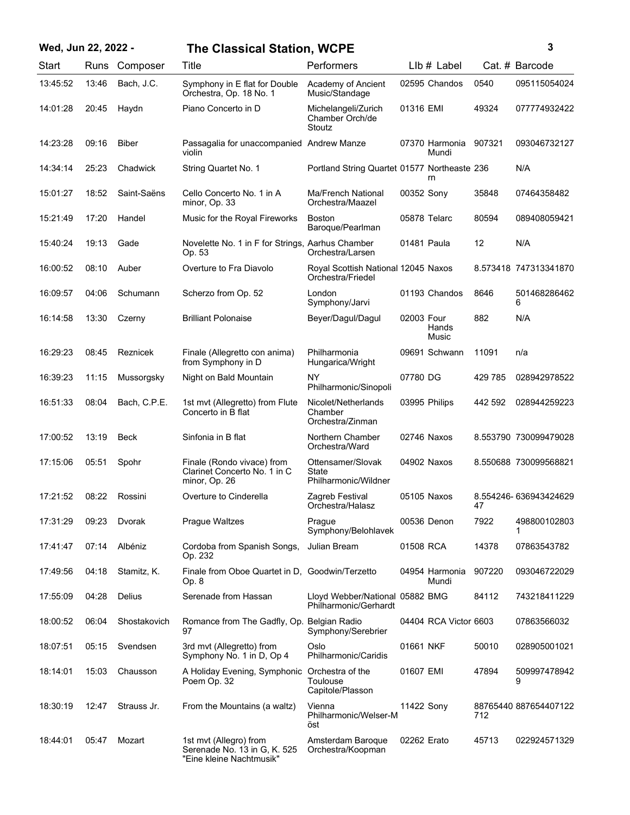| Wed, Jun 22, 2022 - |       |               | <b>The Classical Station, WCPE</b>                                                 |                                                          |             |                         |         | 3                     |
|---------------------|-------|---------------|------------------------------------------------------------------------------------|----------------------------------------------------------|-------------|-------------------------|---------|-----------------------|
| Start               |       | Runs Composer | Title                                                                              | Performers                                               |             | LIb # Label             |         | Cat. # Barcode        |
| 13:45:52            | 13:46 | Bach, J.C.    | Symphony in E flat for Double<br>Orchestra, Op. 18 No. 1                           | Academy of Ancient<br>Music/Standage                     |             | 02595 Chandos           | 0540    | 095115054024          |
| 14:01:28            | 20:45 | Haydn         | Piano Concerto in D                                                                | Michelangeli/Zurich<br>Chamber Orch/de<br>Stoutz         | 01316 EMI   |                         | 49324   | 077774932422          |
| 14:23:28            | 09:16 | <b>Biber</b>  | Passagalia for unaccompanied Andrew Manze<br>violin                                |                                                          |             | 07370 Harmonia<br>Mundi | 907321  | 093046732127          |
| 14:34:14            | 25:23 | Chadwick      | String Quartet No. 1                                                               | Portland String Quartet 01577 Northeaste 236             |             | rn                      |         | N/A                   |
| 15:01:27            | 18:52 | Saint-Saëns   | Cello Concerto No. 1 in A<br>minor, Op. 33                                         | Ma/French National<br>Orchestra/Maazel                   | 00352 Sony  |                         | 35848   | 07464358482           |
| 15:21:49            | 17:20 | Handel        | Music for the Royal Fireworks                                                      | <b>Boston</b><br>Baroque/Pearlman                        |             | 05878 Telarc            | 80594   | 089408059421          |
| 15:40:24            | 19:13 | Gade          | Novelette No. 1 in F for Strings, Aarhus Chamber<br>Op. 53                         | Orchestra/Larsen                                         | 01481 Paula |                         | 12      | N/A                   |
| 16:00:52            | 08:10 | Auber         | Overture to Fra Diavolo                                                            | Royal Scottish National 12045 Naxos<br>Orchestra/Friedel |             |                         |         | 8.573418 747313341870 |
| 16:09:57            | 04:06 | Schumann      | Scherzo from Op. 52                                                                | London<br>Symphony/Jarvi                                 |             | 01193 Chandos           | 8646    | 501468286462<br>6     |
| 16:14:58            | 13:30 | Czerny        | <b>Brilliant Polonaise</b>                                                         | Beyer/Dagul/Dagul                                        | 02003 Four  | Hands<br>Music          | 882     | N/A                   |
| 16:29:23            | 08:45 | Reznicek      | Finale (Allegretto con anima)<br>from Symphony in D                                | Philharmonia<br>Hungarica/Wright                         |             | 09691 Schwann           | 11091   | n/a                   |
| 16:39:23            | 11:15 | Mussorgsky    | Night on Bald Mountain                                                             | NY<br>Philharmonic/Sinopoli                              | 07780 DG    |                         | 429 785 | 028942978522          |
| 16:51:33            | 08:04 | Bach, C.P.E.  | 1st mvt (Allegretto) from Flute<br>Concerto in B flat                              | Nicolet/Netherlands<br>Chamber<br>Orchestra/Zinman       |             | 03995 Philips           | 442 592 | 028944259223          |
| 17:00:52            | 13:19 | <b>Beck</b>   | Sinfonia in B flat                                                                 | Northern Chamber<br>Orchestra/Ward                       |             | 02746 Naxos             |         | 8.553790 730099479028 |
| 17:15:06            | 05:51 | Spohr         | Finale (Rondo vivace) from<br>Clarinet Concerto No. 1 in C<br>minor, Op. 26        | Ottensamer/Slovak<br>State<br>Philharmonic/Wildner       |             | 04902 Naxos             |         | 8.550688 730099568821 |
| 17:21:52            | 08:22 | Rossini       | Overture to Cinderella                                                             | Zagreb Festival<br>Orchestra/Halasz                      |             | 05105 Naxos             | 47      | 8.554246-636943424629 |
| 17:31:29            | 09:23 | Dvorak        | Prague Waltzes                                                                     | Prague<br>Symphony/Belohlavek                            |             | 00536 Denon             | 7922    | 498800102803<br>1     |
| 17:41:47            | 07:14 | Albéniz       | Cordoba from Spanish Songs,<br>Op. 232                                             | Julian Bream                                             | 01508 RCA   |                         | 14378   | 07863543782           |
| 17:49:56            | 04:18 | Stamitz, K.   | Finale from Oboe Quartet in D, Goodwin/Terzetto<br>Op. 8                           |                                                          |             | 04954 Harmonia<br>Mundi | 907220  | 093046722029          |
| 17:55:09            | 04:28 | Delius        | Serenade from Hassan                                                               | Lloyd Webber/National 05882 BMG<br>Philharmonic/Gerhardt |             |                         | 84112   | 743218411229          |
| 18:00:52            | 06:04 | Shostakovich  | Romance from The Gadfly, Op. Belgian Radio<br>97                                   | Symphony/Serebrier                                       |             | 04404 RCA Victor 6603   |         | 07863566032           |
| 18:07:51            | 05:15 | Svendsen      | 3rd mvt (Allegretto) from<br>Symphony No. 1 in D, Op 4                             | Oslo<br>Philharmonic/Caridis                             | 01661 NKF   |                         | 50010   | 028905001021          |
| 18:14:01            | 15:03 | Chausson      | A Holiday Evening, Symphonic Orchestra of the<br>Poem Op. 32                       | Toulouse<br>Capitole/Plasson                             | 01607 EMI   |                         | 47894   | 509997478942<br>9     |
| 18:30:19            | 12:47 | Strauss Jr.   | From the Mountains (a waltz)                                                       | Vienna<br>Philharmonic/Welser-M<br>öst                   | 11422 Sony  |                         | 712     | 88765440 887654407122 |
| 18:44:01            | 05:47 | Mozart        | 1st mvt (Allegro) from<br>Serenade No. 13 in G, K. 525<br>"Eine kleine Nachtmusik" | Amsterdam Baroque<br>Orchestra/Koopman                   | 02262 Erato |                         | 45713   | 022924571329          |